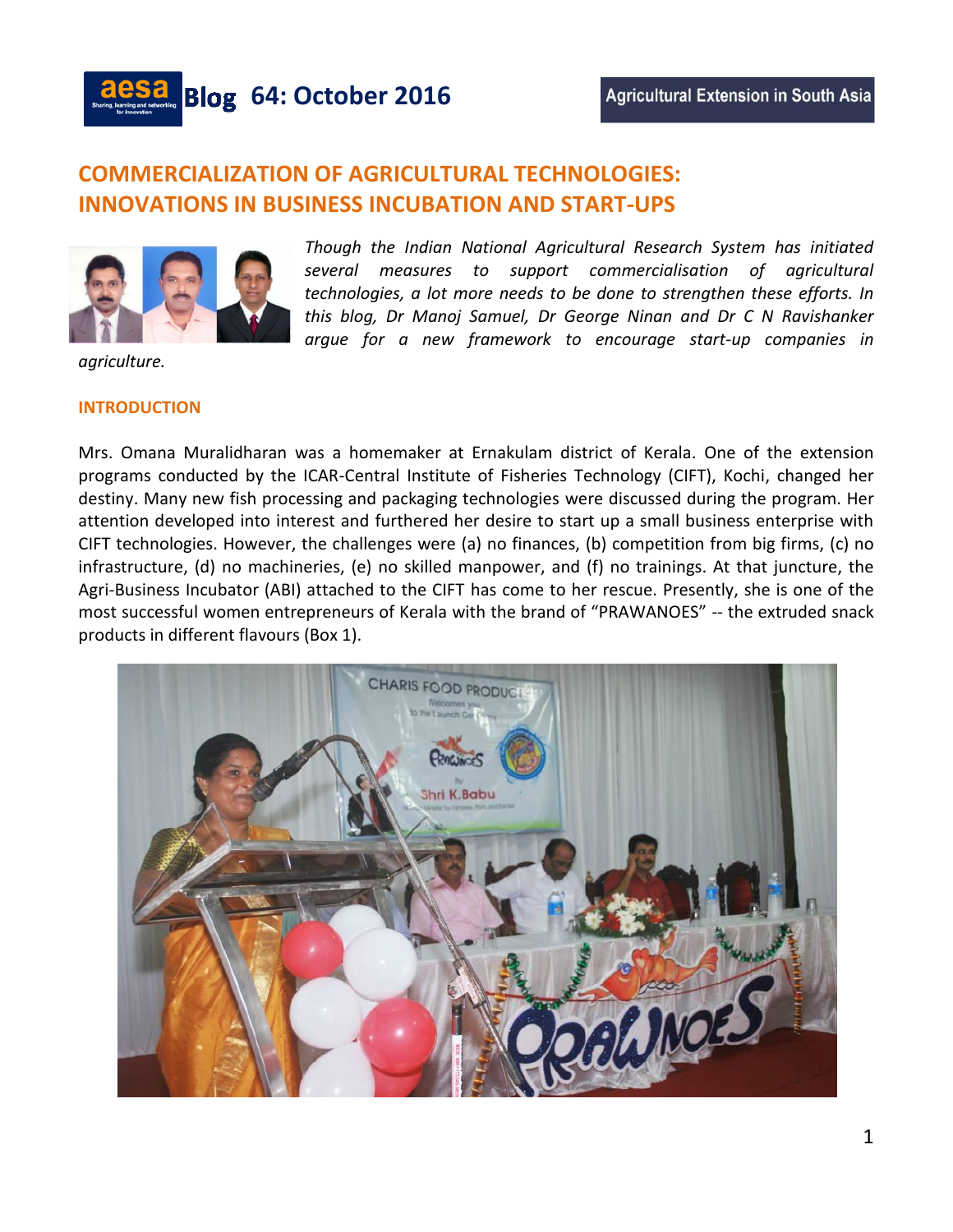

# **COMMERCIALIZATION OF AGRICULTURAL TECHNOLOGIES: INNOVATIONS IN BUSINESS INCUBATION AND START-UPS**



*Though the Indian National Agricultural Research System has initiated several measures to support commercialisation of agricultural technologies, a lot more needs to be done to strengthen these efforts. In this blog, Dr Manoj Samuel, Dr George Ninan and Dr C N Ravishanker argue for a new framework to encourage start-up companies in* 

*agriculture.*

### **INTRODUCTION**

Mrs. Omana Muralidharan was a homemaker at Ernakulam district of Kerala. One of the extension programs conducted by the ICAR-Central Institute of Fisheries Technology (CIFT), Kochi, changed her destiny. Many new fish processing and packaging technologies were discussed during the program. Her attention developed into interest and furthered her desire to start up a small business enterprise with CIFT technologies. However, the challenges were (a) no finances, (b) competition from big firms, (c) no infrastructure, (d) no machineries, (e) no skilled manpower, and (f) no trainings. At that juncture, the Agri-Business Incubator (ABI) attached to the CIFT has come to her rescue. Presently, she is one of the most successful women entrepreneurs of Kerala with the brand of "PRAWANOES" -- the extruded snack products in different flavours (Box 1).

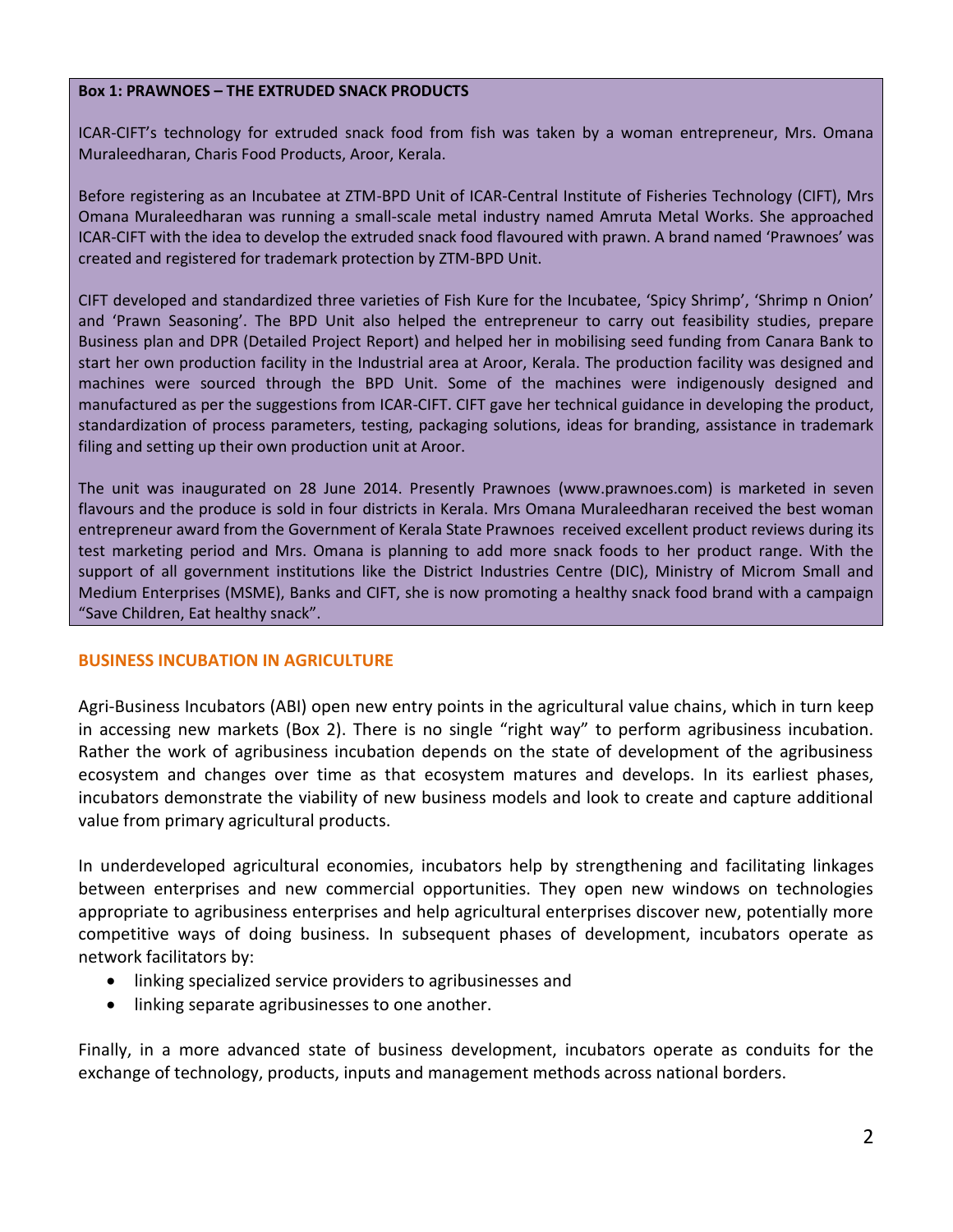## **Box 1: PRAWNOES – THE EXTRUDED SNACK PRODUCTS**

ICAR-CIFT's technology for extruded snack food from fish was taken by a woman entrepreneur, Mrs. Omana Muraleedharan, Charis Food Products, Aroor, Kerala.

Before registering as an Incubatee at ZTM-BPD Unit of ICAR-Central Institute of Fisheries Technology (CIFT), Mrs Omana Muraleedharan was running a small-scale metal industry named Amruta Metal Works. She approached ICAR-CIFT with the idea to develop the extruded snack food flavoured with prawn. A brand named 'Prawnoes' was created and registered for trademark protection by ZTM-BPD Unit.

CIFT developed and standardized three varieties of Fish Kure for the Incubatee, 'Spicy Shrimp', 'Shrimp n Onion' and 'Prawn Seasoning'. The BPD Unit also helped the entrepreneur to carry out feasibility studies, prepare Business plan and DPR (Detailed Project Report) and helped her in mobilising seed funding from Canara Bank to start her own production facility in the Industrial area at Aroor, Kerala. The production facility was designed and machines were sourced through the BPD Unit. Some of the machines were indigenously designed and manufactured as per the suggestions from ICAR-CIFT. CIFT gave her technical guidance in developing the product, standardization of process parameters, testing, packaging solutions, ideas for branding, assistance in trademark filing and setting up their own production unit at Aroor.

The unit was inaugurated on 28 June 2014. Presently Prawnoes (www.prawnoes.com) is marketed in seven flavours and the produce is sold in four districts in Kerala. Mrs Omana Muraleedharan received the best woman entrepreneur award from the Government of Kerala State Prawnoes received excellent product reviews during its test marketing period and Mrs. Omana is planning to add more snack foods to her product range. With the support of all government institutions like the District Industries Centre (DIC), Ministry of Microm Small and Medium Enterprises (MSME), Banks and CIFT, she is now promoting a healthy snack food brand with a campaign "Save Children, Eat healthy snack".

## **BUSINESS INCUBATION IN AGRICULTURE**

Agri-Business Incubators (ABI) open new entry points in the agricultural value chains, which in turn keep in accessing new markets (Box 2). There is no single "right way" to perform agribusiness incubation. Rather the work of agribusiness incubation depends on the state of development of the agribusiness ecosystem and changes over time as that ecosystem matures and develops. In its earliest phases, incubators demonstrate the viability of new business models and look to create and capture additional value from primary agricultural products.

In underdeveloped agricultural economies, incubators help by strengthening and facilitating linkages between enterprises and new commercial opportunities. They open new windows on technologies appropriate to agribusiness enterprises and help agricultural enterprises discover new, potentially more competitive ways of doing business. In subsequent phases of development, incubators operate as network facilitators by:

- linking specialized service providers to agribusinesses and
- linking separate agribusinesses to one another.

Finally, in a more advanced state of business development, incubators operate as conduits for the exchange of technology, products, inputs and management methods across national borders.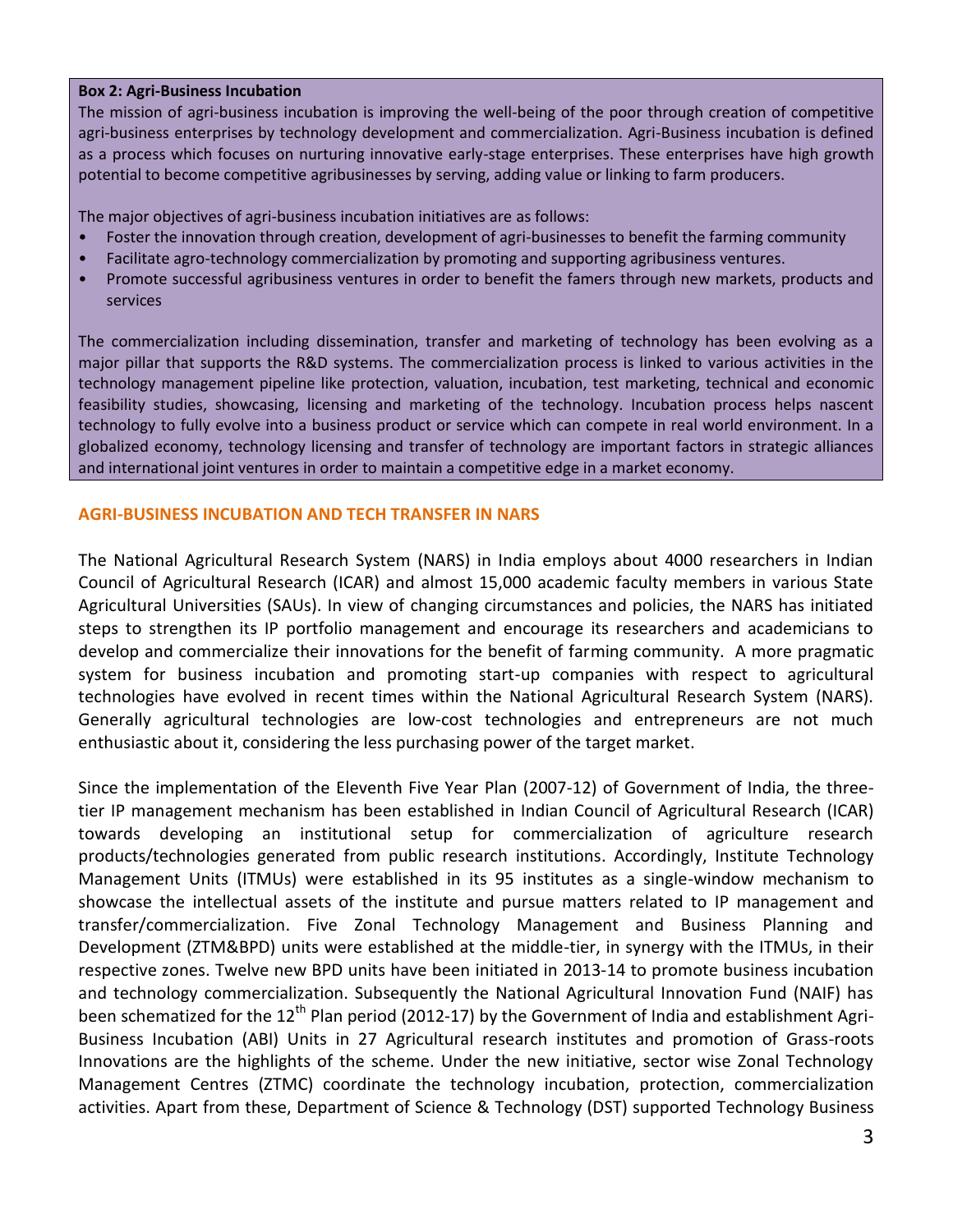## **Box 2: Agri-Business Incubation**

The mission of agri-business incubation is improving the well-being of the poor through creation of competitive agri-business enterprises by technology development and commercialization. Agri-Business incubation is defined as a process which focuses on nurturing innovative early-stage enterprises. These enterprises have high growth potential to become competitive agribusinesses by serving, adding value or linking to farm producers.

The major objectives of agri-business incubation initiatives are as follows:

- Foster the innovation through creation, development of agri-businesses to benefit the farming community
- Facilitate agro-technology commercialization by promoting and supporting agribusiness ventures.
- Promote successful agribusiness ventures in order to benefit the famers through new markets, products and services

The commercialization including dissemination, transfer and marketing of technology has been evolving as a major pillar that supports the R&D systems. The commercialization process is linked to various activities in the technology management pipeline like protection, valuation, incubation, test marketing, technical and economic feasibility studies, showcasing, licensing and marketing of the technology. Incubation process helps nascent technology to fully evolve into a business product or service which can compete in real world environment. In a globalized economy, technology licensing and transfer of technology are important factors in strategic alliances and international joint ventures in order to maintain a competitive edge in a market economy.

# **AGRI-BUSINESS INCUBATION AND TECH TRANSFER IN NARS**

The National Agricultural Research System (NARS) in India employs about 4000 researchers in Indian Council of Agricultural Research (ICAR) and almost 15,000 academic faculty members in various State Agricultural Universities (SAUs). In view of changing circumstances and policies, the NARS has initiated steps to strengthen its IP portfolio management and encourage its researchers and academicians to develop and commercialize their innovations for the benefit of farming community. A more pragmatic system for business incubation and promoting start-up companies with respect to agricultural technologies have evolved in recent times within the National Agricultural Research System (NARS). Generally agricultural technologies are low-cost technologies and entrepreneurs are not much enthusiastic about it, considering the less purchasing power of the target market.

Since the implementation of the Eleventh Five Year Plan (2007-12) of Government of India, the threetier IP management mechanism has been established in Indian Council of Agricultural Research (ICAR) towards developing an institutional setup for commercialization of agriculture research products/technologies generated from public research institutions. Accordingly, Institute Technology Management Units (ITMUs) were established in its 95 institutes as a single-window mechanism to showcase the intellectual assets of the institute and pursue matters related to IP management and transfer/commercialization. Five Zonal Technology Management and Business Planning and Development (ZTM&BPD) units were established at the middle-tier, in synergy with the ITMUs, in their respective zones. Twelve new BPD units have been initiated in 2013-14 to promote business incubation and technology commercialization. Subsequently the National Agricultural Innovation Fund (NAIF) has been schematized for the  $12<sup>th</sup>$  Plan period (2012-17) by the Government of India and establishment Agri-Business Incubation (ABI) Units in 27 Agricultural research institutes and promotion of Grass-roots Innovations are the highlights of the scheme. Under the new initiative, sector wise Zonal Technology Management Centres (ZTMC) coordinate the technology incubation, protection, commercialization activities. Apart from these, Department of Science & Technology (DST) supported Technology Business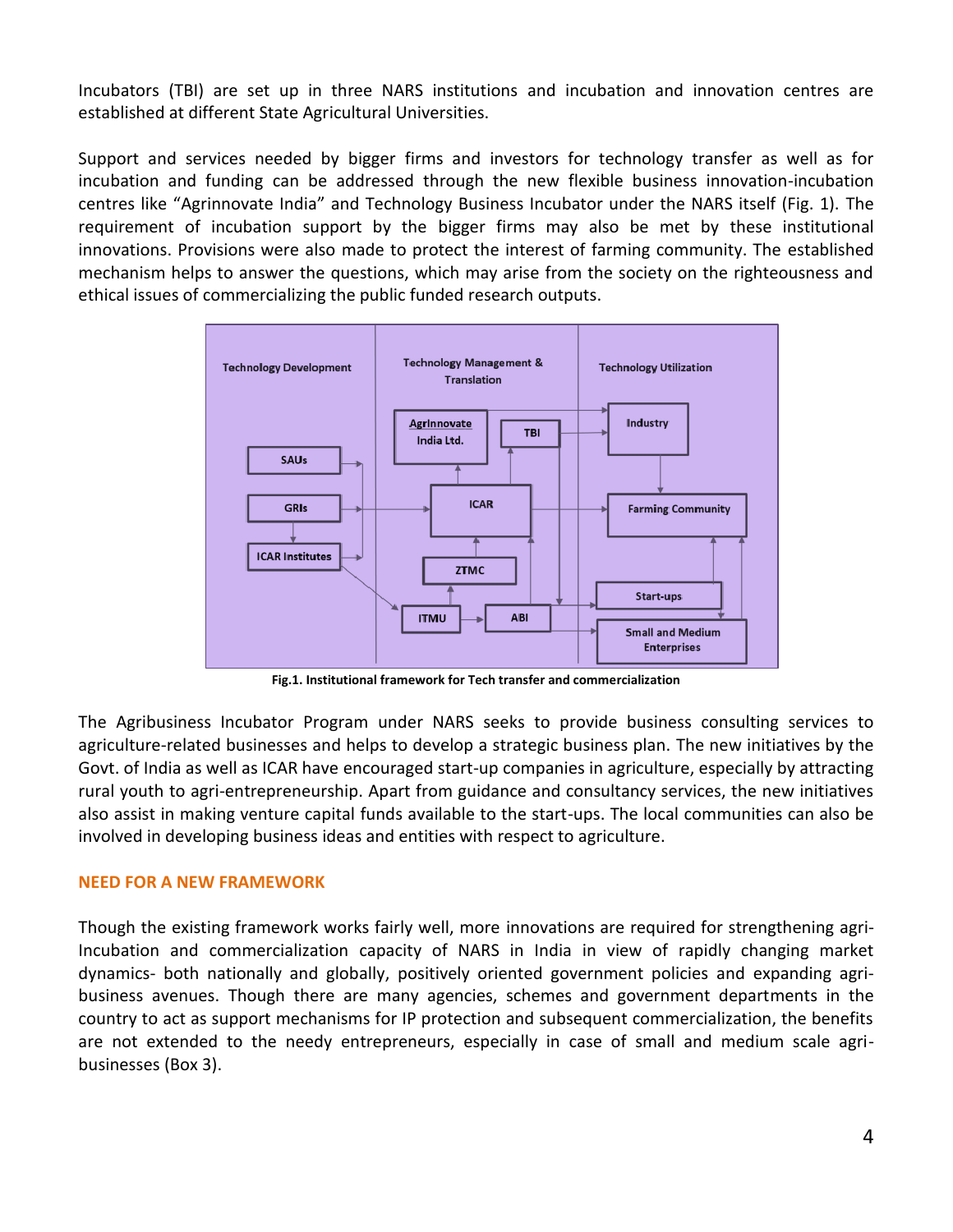Incubators (TBI) are set up in three NARS institutions and incubation and innovation centres are established at different State Agricultural Universities.

Support and services needed by bigger firms and investors for technology transfer as well as for incubation and funding can be addressed through the new flexible business innovation-incubation centres like "Agrinnovate India" and Technology Business Incubator under the NARS itself (Fig. 1). The requirement of incubation support by the bigger firms may also be met by these institutional innovations. Provisions were also made to protect the interest of farming community. The established mechanism helps to answer the questions, which may arise from the society on the righteousness and ethical issues of commercializing the public funded research outputs.



**Fig.1. Institutional framework for Tech transfer and commercialization**

The Agribusiness Incubator Program under NARS seeks to provide business consulting services to agriculture-related businesses and helps to develop a strategic business plan. The new initiatives by the Govt. of India as well as ICAR have encouraged start-up companies in agriculture, especially by attracting rural youth to agri-entrepreneurship. Apart from guidance and consultancy services, the new initiatives also assist in making venture capital funds available to the start-ups. The local communities can also be involved in developing business ideas and entities with respect to agriculture.

# **NEED FOR A NEW FRAMEWORK**

Though the existing framework works fairly well, more innovations are required for strengthening agri-Incubation and commercialization capacity of NARS in India in view of rapidly changing market dynamics- both nationally and globally, positively oriented government policies and expanding agribusiness avenues. Though there are many agencies, schemes and government departments in the country to act as support mechanisms for IP protection and subsequent commercialization, the benefits are not extended to the needy entrepreneurs, especially in case of small and medium scale agribusinesses (Box 3).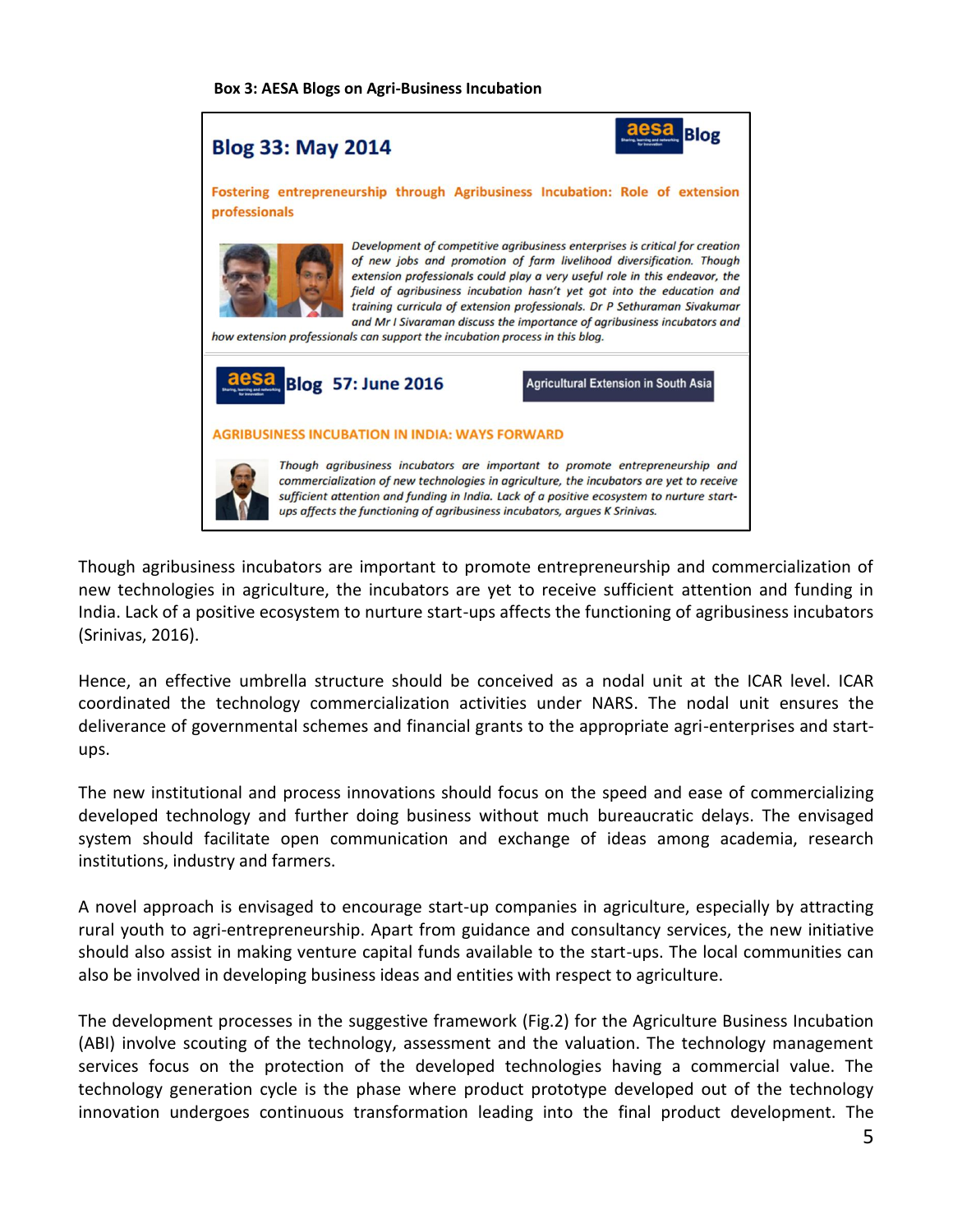#### **Box 3: AESA Blogs on Agri-Business Incubation**



Though agribusiness incubators are important to promote entrepreneurship and commercialization of new technologies in agriculture, the incubators are yet to receive sufficient attention and funding in India. Lack of a positive ecosystem to nurture start-ups affects the functioning of agribusiness incubators (Srinivas, 2016).

Hence, an effective umbrella structure should be conceived as a nodal unit at the ICAR level. ICAR coordinated the technology commercialization activities under NARS. The nodal unit ensures the deliverance of governmental schemes and financial grants to the appropriate agri-enterprises and startups.

The new institutional and process innovations should focus on the speed and ease of commercializing developed technology and further doing business without much bureaucratic delays. The envisaged system should facilitate open communication and exchange of ideas among academia, research institutions, industry and farmers.

A novel approach is envisaged to encourage start-up companies in agriculture, especially by attracting rural youth to agri-entrepreneurship. Apart from guidance and consultancy services, the new initiative should also assist in making venture capital funds available to the start-ups. The local communities can also be involved in developing business ideas and entities with respect to agriculture.

The development processes in the suggestive framework (Fig.2) for the Agriculture Business Incubation (ABI) involve scouting of the technology, assessment and the valuation. The technology management services focus on the protection of the developed technologies having a commercial value. The technology generation cycle is the phase where product prototype developed out of the technology innovation undergoes continuous transformation leading into the final product development. The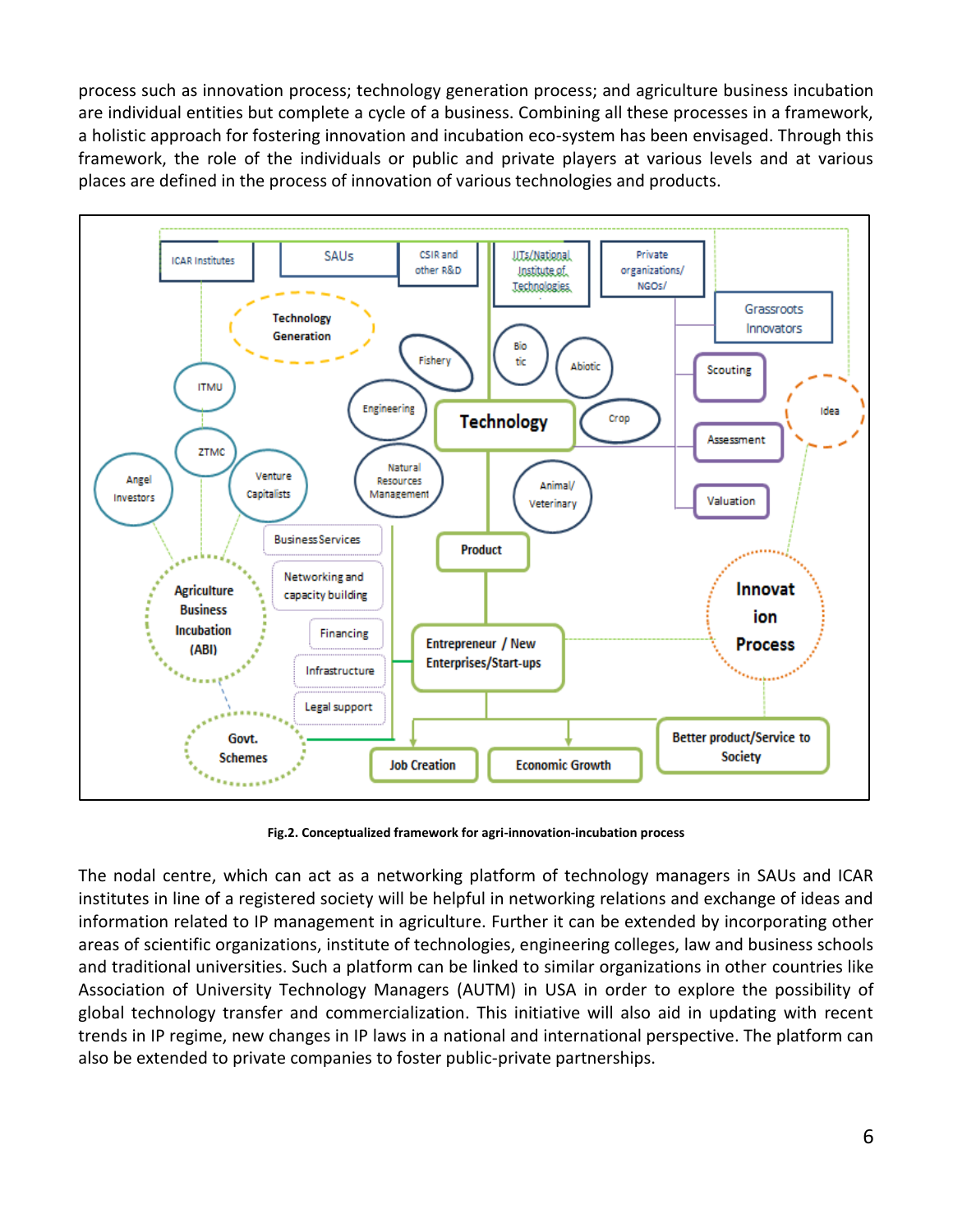process such as innovation process; technology generation process; and agriculture business incubation are individual entities but complete a cycle of a business. Combining all these processes in a framework, a holistic approach for fostering innovation and incubation eco-system has been envisaged. Through this framework, the role of the individuals or public and private players at various levels and at various places are defined in the process of innovation of various technologies and products.



**Fig.2. Conceptualized framework for agri-innovation-incubation process**

The nodal centre, which can act as a networking platform of technology managers in SAUs and ICAR institutes in line of a registered society will be helpful in networking relations and exchange of ideas and information related to IP management in agriculture. Further it can be extended by incorporating other areas of scientific organizations, institute of technologies, engineering colleges, law and business schools and traditional universities. Such a platform can be linked to similar organizations in other countries like Association of University Technology Managers (AUTM) in USA in order to explore the possibility of global technology transfer and commercialization. This initiative will also aid in updating with recent trends in IP regime, new changes in IP laws in a national and international perspective. The platform can also be extended to private companies to foster public-private partnerships.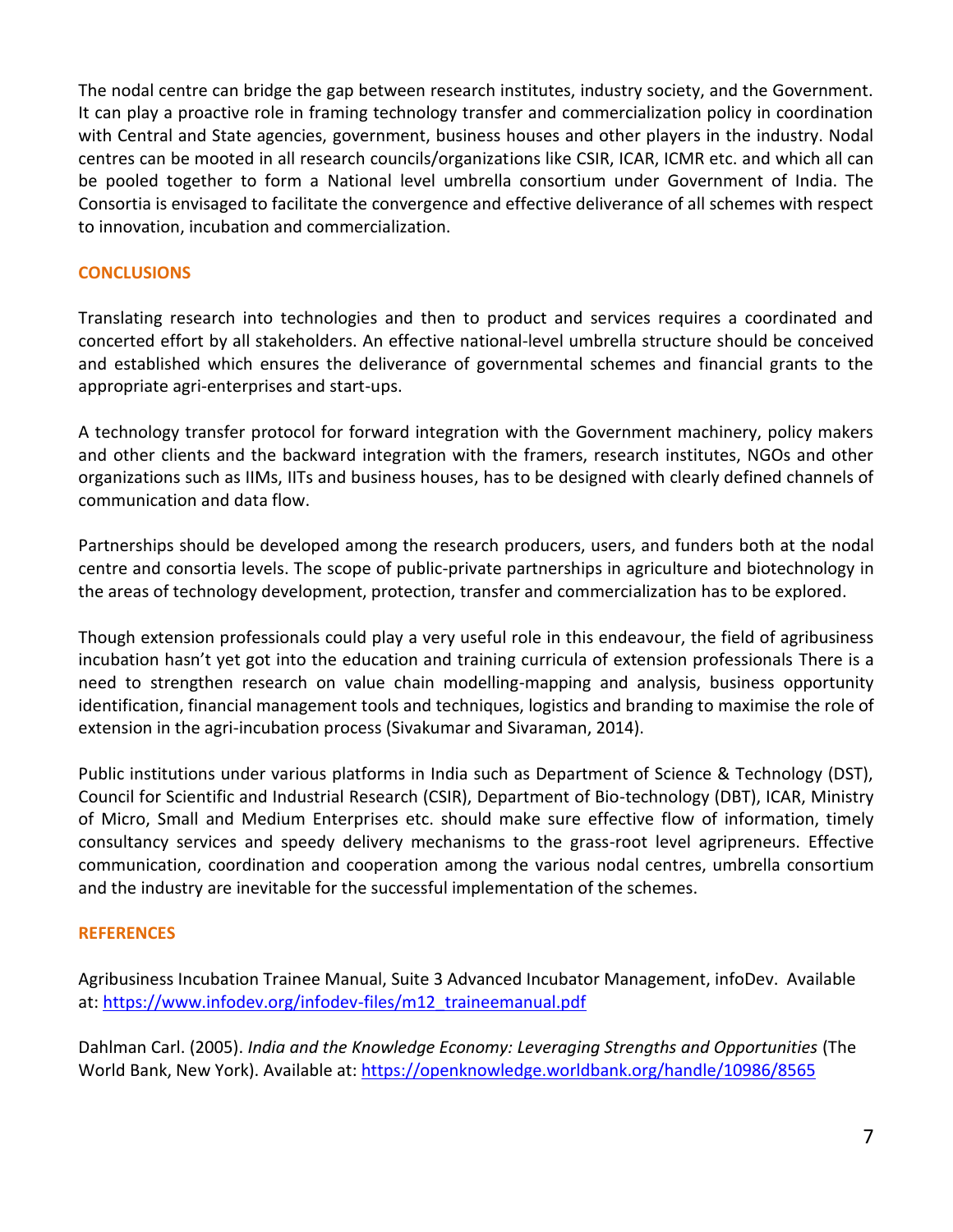The nodal centre can bridge the gap between research institutes, industry society, and the Government. It can play a proactive role in framing technology transfer and commercialization policy in coordination with Central and State agencies, government, business houses and other players in the industry. Nodal centres can be mooted in all research councils/organizations like CSIR, ICAR, ICMR etc. and which all can be pooled together to form a National level umbrella consortium under Government of India. The Consortia is envisaged to facilitate the convergence and effective deliverance of all schemes with respect to innovation, incubation and commercialization.

# **CONCLUSIONS**

Translating research into technologies and then to product and services requires a coordinated and concerted effort by all stakeholders. An effective national-level umbrella structure should be conceived and established which ensures the deliverance of governmental schemes and financial grants to the appropriate agri-enterprises and start-ups.

A technology transfer protocol for forward integration with the Government machinery, policy makers and other clients and the backward integration with the framers, research institutes, NGOs and other organizations such as IIMs, IITs and business houses, has to be designed with clearly defined channels of communication and data flow.

Partnerships should be developed among the research producers, users, and funders both at the nodal centre and consortia levels. The scope of public-private partnerships in agriculture and biotechnology in the areas of technology development, protection, transfer and commercialization has to be explored.

Though extension professionals could play a very useful role in this endeavour, the field of agribusiness incubation hasn't yet got into the education and training curricula of extension professionals There is a need to strengthen research on value chain modelling-mapping and analysis, business opportunity identification, financial management tools and techniques, logistics and branding to maximise the role of extension in the agri-incubation process (Sivakumar and Sivaraman, 2014).

Public institutions under various platforms in India such as Department of Science & Technology (DST), Council for Scientific and Industrial Research (CSIR), Department of Bio-technology (DBT), ICAR, Ministry of Micro, Small and Medium Enterprises etc. should make sure effective flow of information, timely consultancy services and speedy delivery mechanisms to the grass-root level agripreneurs. Effective communication, coordination and cooperation among the various nodal centres, umbrella consortium and the industry are inevitable for the successful implementation of the schemes.

# **REFERENCES**

Agribusiness Incubation Trainee Manual, Suite 3 Advanced Incubator Management, infoDev. Available at: [https://www.infodev.org/infodev-files/m12\\_traineemanual.pdf](https://www.infodev.org/infodev-files/m12_traineemanual.pdf)

Dahlman Carl. (2005). *India and the Knowledge Economy: Leveraging Strengths and Opportunities* (The World Bank, New York). Available at:<https://openknowledge.worldbank.org/handle/10986/8565>